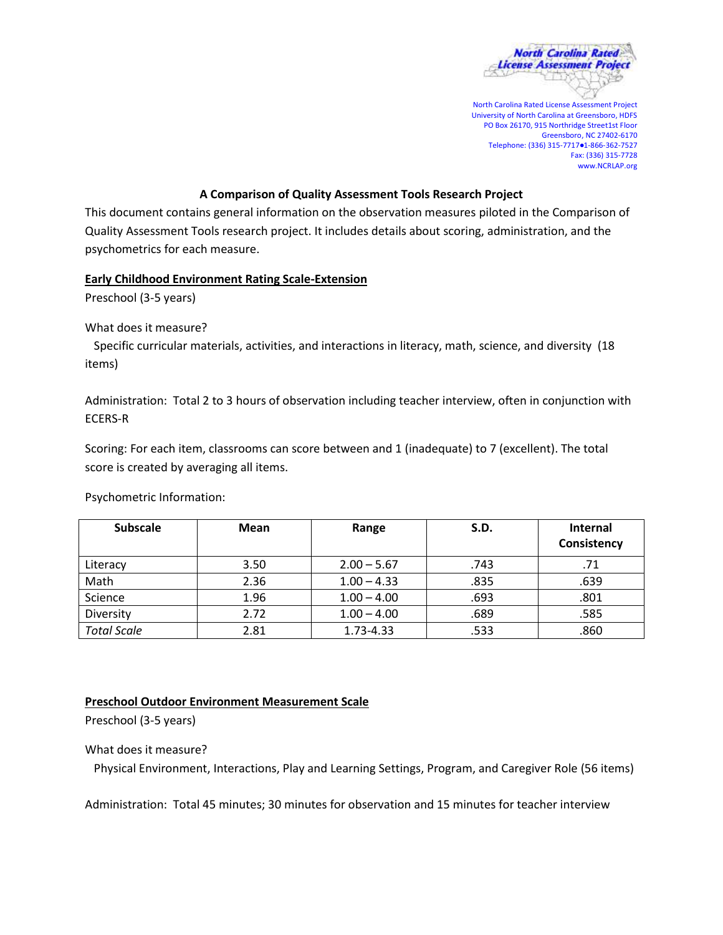

North Carolina Rated License Assessment Project University of North Carolina at Greensboro, HDFS PO Box 26170, 915 Northridge Street1st Floor Greensboro, NC 27402-6170 Telephone: (336) 315-7717●1-866-362-7527 Fax: (336) 315-7728 www.NCRLAP.org

# **A Comparison of Quality Assessment Tools Research Project**

This document contains general information on the observation measures piloted in the Comparison of Quality Assessment Tools research project. It includes details about scoring, administration, and the psychometrics for each measure.

### **Early Childhood Environment Rating Scale-Extension**

Preschool (3-5 years)

What does it measure?

 Specific curricular materials, activities, and interactions in literacy, math, science, and diversity (18 items)

Administration: Total 2 to 3 hours of observation including teacher interview, often in conjunction with ECERS-R

Scoring: For each item, classrooms can score between and 1 (inadequate) to 7 (excellent). The total score is created by averaging all items.

Psychometric Information:

| <b>Subscale</b>    | Mean | S.D.<br>Range |      | <b>Internal</b><br>Consistency |
|--------------------|------|---------------|------|--------------------------------|
| Literacy           | 3.50 | $2.00 - 5.67$ | .743 | .71                            |
| Math               | 2.36 | $1.00 - 4.33$ | .835 | .639                           |
| Science            | 1.96 | $1.00 - 4.00$ | .693 | .801                           |
| Diversity          | 2.72 | $1.00 - 4.00$ | .689 | .585                           |
| <b>Total Scale</b> | 2.81 | 1.73-4.33     | .533 | .860                           |

# **Preschool Outdoor Environment Measurement Scale**

Preschool (3-5 years)

What does it measure?

Physical Environment, Interactions, Play and Learning Settings, Program, and Caregiver Role (56 items)

Administration: Total 45 minutes; 30 minutes for observation and 15 minutes for teacher interview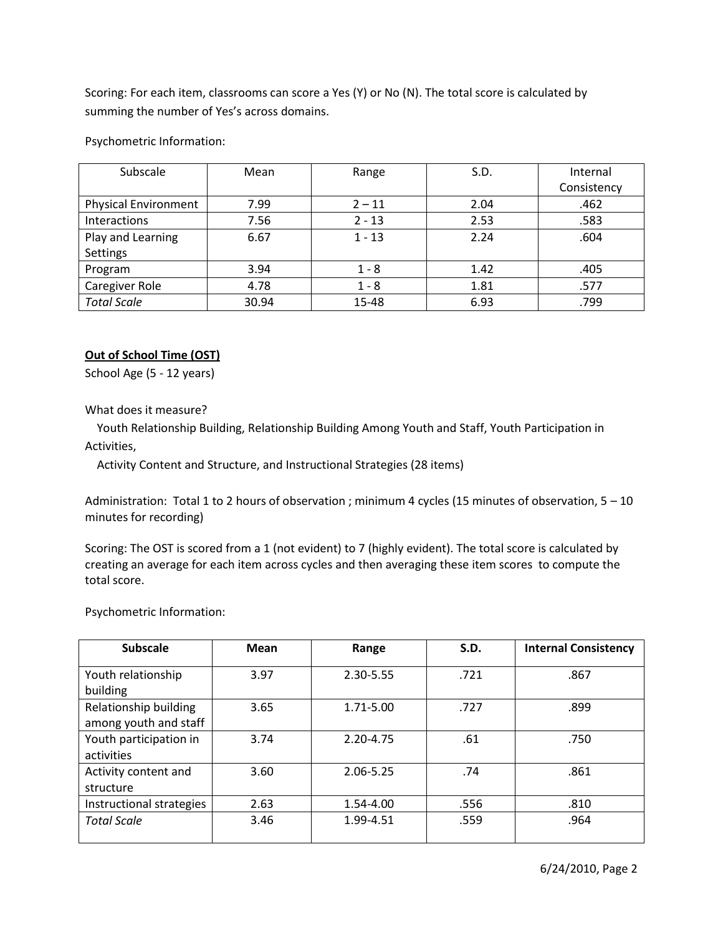Scoring: For each item, classrooms can score a Yes (Y) or No (N). The total score is calculated by summing the number of Yes's across domains.

Psychometric Information:

| Subscale                    | Mean  | Range    | S.D. | Internal    |
|-----------------------------|-------|----------|------|-------------|
|                             |       |          |      | Consistency |
| <b>Physical Environment</b> | 7.99  | $2 - 11$ | 2.04 | .462        |
| Interactions                | 7.56  | $2 - 13$ | 2.53 | .583        |
| Play and Learning           | 6.67  | $1 - 13$ | 2.24 | .604        |
| Settings                    |       |          |      |             |
| Program                     | 3.94  | $1 - 8$  | 1.42 | .405        |
| Caregiver Role              | 4.78  | $1 - 8$  | 1.81 | .577        |
| <b>Total Scale</b>          | 30.94 | 15-48    | 6.93 | .799        |

# **Out of School Time (OST)**

School Age (5 - 12 years)

What does it measure?

 Youth Relationship Building, Relationship Building Among Youth and Staff, Youth Participation in Activities,

Activity Content and Structure, and Instructional Strategies (28 items)

Administration: Total 1 to 2 hours of observation ; minimum 4 cycles (15 minutes of observation, 5 – 10 minutes for recording)

Scoring: The OST is scored from a 1 (not evident) to 7 (highly evident). The total score is calculated by creating an average for each item across cycles and then averaging these item scores to compute the total score.

Psychometric Information:

| <b>Subscale</b>          | Mean | Range     | S.D. | <b>Internal Consistency</b> |
|--------------------------|------|-----------|------|-----------------------------|
| Youth relationship       | 3.97 | 2.30-5.55 | .721 | .867                        |
| building                 |      |           |      |                             |
| Relationship building    | 3.65 | 1.71-5.00 | .727 | .899                        |
| among youth and staff    |      |           |      |                             |
| Youth participation in   | 3.74 | 2.20-4.75 | .61  | .750                        |
| activities               |      |           |      |                             |
| Activity content and     | 3.60 | 2.06-5.25 | .74  | .861                        |
| structure                |      |           |      |                             |
| Instructional strategies | 2.63 | 1.54-4.00 | .556 | .810                        |
| <b>Total Scale</b>       | 3.46 | 1.99-4.51 | .559 | .964                        |
|                          |      |           |      |                             |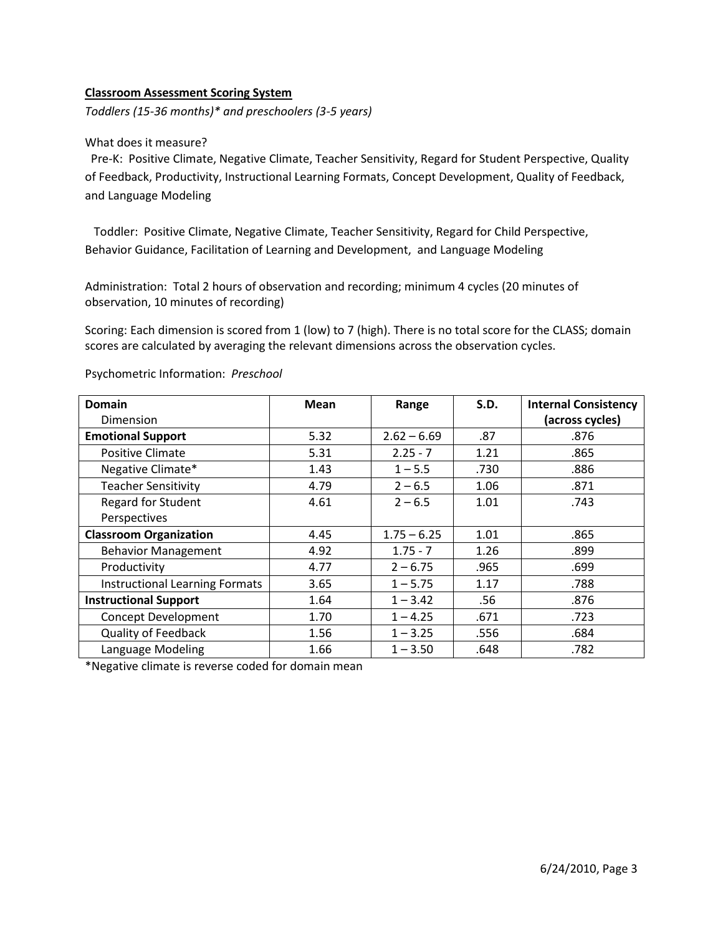### **Classroom Assessment Scoring System**

*Toddlers (15-36 months)\* and preschoolers (3-5 years)*

#### What does it measure?

 Pre-K: Positive Climate, Negative Climate, Teacher Sensitivity, Regard for Student Perspective, Quality of Feedback, Productivity, Instructional Learning Formats, Concept Development, Quality of Feedback, and Language Modeling

 Toddler: Positive Climate, Negative Climate, Teacher Sensitivity, Regard for Child Perspective, Behavior Guidance, Facilitation of Learning and Development, and Language Modeling

Administration: Total 2 hours of observation and recording; minimum 4 cycles (20 minutes of observation, 10 minutes of recording)

Scoring: Each dimension is scored from 1 (low) to 7 (high). There is no total score for the CLASS; domain scores are calculated by averaging the relevant dimensions across the observation cycles.

| <b>Domain</b>                         | Mean | Range         | S.D. | <b>Internal Consistency</b> |
|---------------------------------------|------|---------------|------|-----------------------------|
| Dimension                             |      |               |      | (across cycles)             |
| <b>Emotional Support</b>              | 5.32 | $2.62 - 6.69$ | .87  | .876                        |
| <b>Positive Climate</b>               | 5.31 | $2.25 - 7$    | 1.21 | .865                        |
| Negative Climate*                     | 1.43 | $1 - 5.5$     | .730 | .886                        |
| <b>Teacher Sensitivity</b>            | 4.79 | $2 - 6.5$     | 1.06 | .871                        |
| <b>Regard for Student</b>             | 4.61 | $2 - 6.5$     | 1.01 | .743                        |
| Perspectives                          |      |               |      |                             |
| <b>Classroom Organization</b>         | 4.45 | $1.75 - 6.25$ | 1.01 | .865                        |
| <b>Behavior Management</b>            | 4.92 | $1.75 - 7$    | 1.26 | .899                        |
| Productivity                          | 4.77 | $2 - 6.75$    | .965 | .699                        |
| <b>Instructional Learning Formats</b> | 3.65 | $1 - 5.75$    | 1.17 | .788                        |
| <b>Instructional Support</b>          | 1.64 | $1 - 3.42$    | .56  | .876                        |
| <b>Concept Development</b>            | 1.70 | $1 - 4.25$    | .671 | .723                        |
| <b>Quality of Feedback</b>            | 1.56 | $1 - 3.25$    | .556 | .684                        |
| Language Modeling                     | 1.66 | $1 - 3.50$    | .648 | .782                        |

Psychometric Information: *Preschool*

\*Negative climate is reverse coded for domain mean